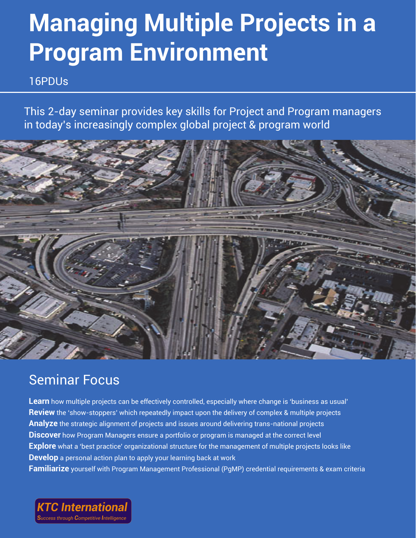# **Managing Multiple Projects in a Program Environment**

16PDUs

This 2-day seminar provides key skills for Project and Program managers in today's increasingly complex global project & program world



## Seminar Focus

**Learn** how multiple projects can be effectively controlled, especially where change is 'business as usual' **Review** the 'show-stoppers' which repeatedly impact upon the delivery of complex & multiple projects **Analyze** the strategic alignment of projects and issues around delivering trans-national projects **Discover** how Program Managers ensure a portfolio or program is managed at the correct level **Explore** what a 'best practice' organizational structure for the management of multiple projects looks like **Develop** a personal action plan to apply your learning back at work **Familiarize** yourself with Program Management Professional (PgMP) credential requirements & exam criteria

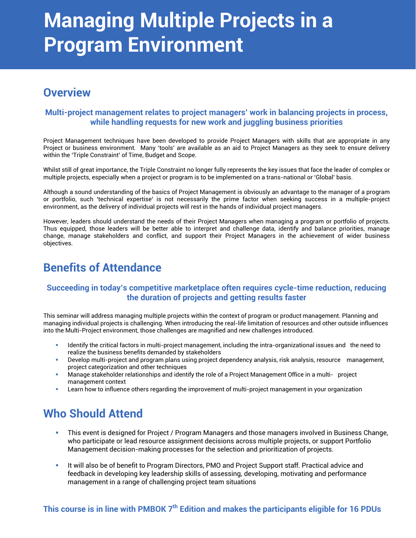## **Managing Multiple Projects in a Program Environment**

### **Overview**

### **Multi-project management relates to project managers' work in balancing projects in process, while handling requests for new work and juggling business priorities**

Project Management techniques have been developed to provide Project Managers with skills that are appropriate in any Project or business environment. Many 'tools' are available as an aid to Project Managers as they seek to ensure delivery within the 'Triple Constraint' of Time, Budget and Scope.

Whilst still of great importance, the Triple Constraint no longer fully represents the key issues that face the leader of complex or multiple projects, especially when a project or program is to be implemented on a trans-national or 'Global' basis.

Although a sound understanding of the basics of Project Management is obviously an advantage to the manager of a program or portfolio, such 'technical expertise' is not necessarily the prime factor when seeking success in a multiple-project environment, as the delivery of individual projects will rest in the hands of individual project managers.

However, leaders should understand the needs of their Project Managers when managing a program or portfolio of projects. Thus equipped, those leaders will be better able to interpret and challenge data, identify and balance priorities, manage change, manage stakeholders and conflict, and support their Project Managers in the achievement of wider business objectives.

### **Benefits of Attendance**

### **Succeeding in today's competitive marketplace often requires cycle-time reduction, reducing the duration of projects and getting results faster**

This seminar will address managing multiple projects within the context of program or product management. Planning and managing individual projects is challenging. When introducing the real-life limitation of resources and other outside influences into the Multi-Project environment, those challenges are magnified and new challenges introduced.

- Identify the critical factors in multi-project management, including the intra-organizational issues and the need to realize the business benefits demanded by stakeholders
- Develop multi-project and program plans using project dependency analysis, risk analysis, resource management, project categorization and other techniques
- Manage stakeholder relationships and identify the role of a Project Management Office in a multi- project management context
- Learn how to influence others regarding the improvement of multi-project management in your organization

### **Who Should Attend**

- This event is designed for Project / Program Managers and those managers involved in Business Change, who participate or lead resource assignment decisions across multiple projects, or support Portfolio Management decision-making processes for the selection and prioritization of projects.
- It will also be of benefit to Program Directors, PMO and Project Support staff. Practical advice and feedback in developing key leadership skills of assessing, developing, motivating and performance management in a range of challenging project team situations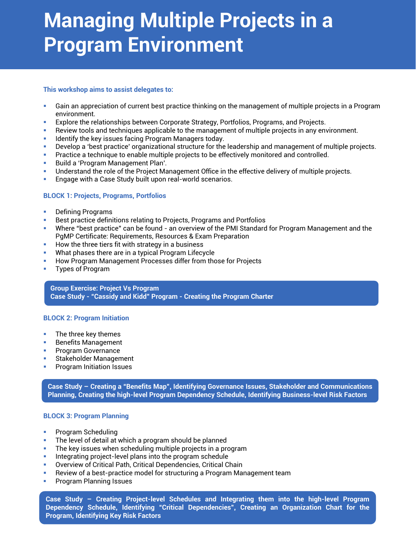## **Managing Multiple Projects in a Program Environment**

### **This workshop aims to assist delegates to:**

- Gain an appreciation of current best practice thinking on the management of multiple projects in a Program environment.
- Explore the relationships between Corporate Strategy, Portfolios, Programs, and Projects.
- Review tools and techniques applicable to the management of multiple projects in any environment.
- Identify the key issues facing Program Managers today.
- Develop a 'best practice' organizational structure for the leadership and management of multiple projects.
- **Practice a technique to enable multiple projects to be effectively monitored and controlled.**
- **Build a 'Program Management Plan'.**
- Understand the role of the Project Management Office in the effective delivery of multiple projects.
- Engage with a Case Study built upon real-world scenarios.

### **BLOCK 1: Projects, Programs, Portfolios**

- Defining Programs
- **Best practice definitions relating to Projects, Programs and Portfolios**
- Where "best practice" can be found an overview of the PMI Standard for Program Management and the PgMP Certificate: Requirements, Resources & Exam Preparation
- $\blacksquare$  How the three tiers fit with strategy in a business
- What phases there are in a typical Program Lifecycle
- How Program Management Processes differ from those for Projects
- Types of Program

**Group Exercise: Project Vs Program Case Study - "Cassidy and Kidd" Program - Creating the Program Charter**

### **BLOCK 2: Program Initiation**

- **The three key themes**
- **Benefits Management**
- **Program Governance**
- Stakeholder Management
- **Program Initiation Issues**

**Case Study – Creating a "Benefits Map", Identifying Governance Issues, Stakeholder and Communications Planning, Creating the high-level Program Dependency Schedule, Identifying Business-level Risk Factors**

#### **BLOCK 3: Program Planning**

- **•** Program Scheduling
- The level of detail at which a program should be planned
- The key issues when scheduling multiple projects in a program
- **Integrating project-level plans into the program schedule**
- Overview of Critical Path, Critical Dependencies, Critical Chain
- Review of a best-practice model for structuring a Program Management team
- Program Planning Issues

**Case Study – Creating Project-level Schedules and Integrating them into the high-level Program Dependency Schedule, Identifying "Critical Dependencies", Creating an Organization Chart for the Program, Identifying Key Risk Factors**